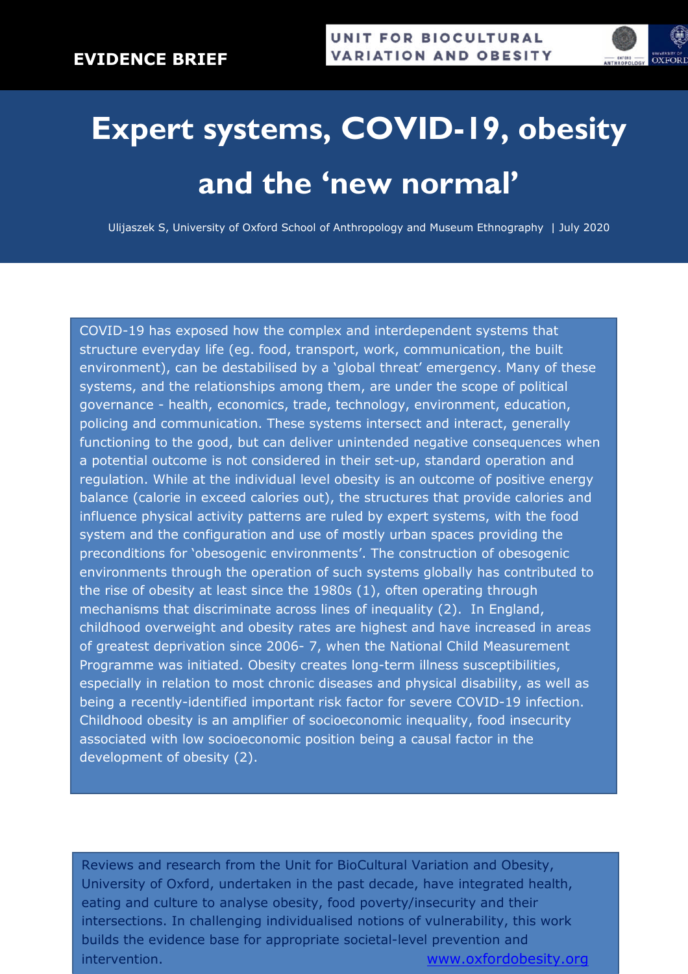

## **Expert systems, COVID-19, obesity and the 'new normal'**

Ulijaszek S, University of Oxford School of Anthropology and Museum Ethnography | July 2020

COVID-19 has exposed how the complex and interdependent systems that structure everyday life (eg. food, transport, work, communication, the built environment), can be destabilised by a 'global threat' emergency. Many of these systems, and the relationships among them, are under the scope of political governance - health, economics, trade, technology, environment, education, policing and communication. These systems intersect and interact, generally functioning to the good, but can deliver unintended negative consequences when a potential outcome is not considered in their set-up, standard operation and regulation. While at the individual level obesity is an outcome of positive energy balance (calorie in exceed calories out), the structures that provide calories and influence physical activity patterns are ruled by expert systems, with the food system and the configuration and use of mostly urban spaces providing the preconditions for 'obesogenic environments'. The construction of obesogenic environments through the operation of such systems globally has contributed to the rise of obesity at least since the 1980s (1), often operating through mechanisms that discriminate across lines of inequality (2). In England, childhood overweight and obesity rates are highest and have increased in areas of greatest deprivation since 2006- 7, when the National Child Measurement Programme was initiated. Obesity creates long-term illness susceptibilities, especially in relation to most chronic diseases and physical disability, as well as being a recently-identified important risk factor for severe COVID-19 infection. Childhood obesity is an amplifier of socioeconomic inequality, food insecurity associated with low socioeconomic position being a causal factor in the development of obesity (2).

Reviews and research from the Unit for BioCultural Variation and Obesity, University of Oxford, undertaken in the past decade, have integrated health, eating and culture to analyse obesity, food poverty/insecurity and their intersections. In challenging individualised notions of vulnerability, this work builds the evidence base for appropriate societal-level prevention and intervention. www.oxfordobesity.org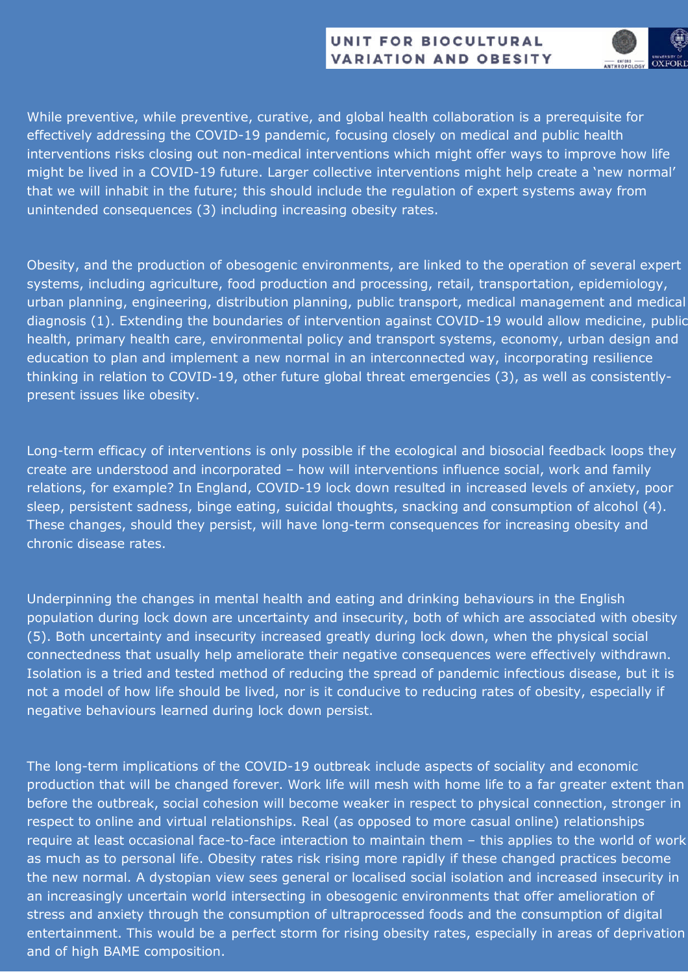## UNIT FOR BIOCULTURAL **VARIATION AND OBESITY**



While preventive, while preventive, curative, and global health collaboration is a prerequisite for effectively addressing the COVID-19 pandemic, focusing closely on medical and public health interventions risks closing out non-medical interventions which might offer ways to improve how life might be lived in a COVID-19 future. Larger collective interventions might help create a 'new normal' that we will inhabit in the future; this should include the regulation of expert systems away from unintended consequences (3) including increasing obesity rates.

Obesity, and the production of obesogenic environments, are linked to the operation of several expert systems, including agriculture, food production and processing, retail, transportation, epidemiology, urban planning, engineering, distribution planning, public transport, medical management and medical diagnosis (1). Extending the boundaries of intervention against COVID-19 would allow medicine, public health, primary health care, environmental policy and transport systems, economy, urban design and education to plan and implement a new normal in an interconnected way, incorporating resilience thinking in relation to COVID-19, other future global threat emergencies (3), as well as consistentlypresent issues like obesity.

Long-term efficacy of interventions is only possible if the ecological and biosocial feedback loops they create are understood and incorporated – how will interventions influence social, work and family relations, for example? In England, COVID-19 lock down resulted in increased levels of anxiety, poor sleep, persistent sadness, binge eating, suicidal thoughts, snacking and consumption of alcohol (4). These changes, should they persist, will have long-term consequences for increasing obesity and chronic disease rates.

Underpinning the changes in mental health and eating and drinking behaviours in the English population during lock down are uncertainty and insecurity, both of which are associated with obesity (5). Both uncertainty and insecurity increased greatly during lock down, when the physical social connectedness that usually help ameliorate their negative consequences were effectively withdrawn. Isolation is a tried and tested method of reducing the spread of pandemic infectious disease, but it is not a model of how life should be lived, nor is it conducive to reducing rates of obesity, especially if negative behaviours learned during lock down persist.

The long-term implications of the COVID-19 outbreak include aspects of sociality and economic production that will be changed forever. Work life will mesh with home life to a far greater extent than before the outbreak, social cohesion will become weaker in respect to physical connection, stronger in respect to online and virtual relationships. Real (as opposed to more casual online) relationships require at least occasional face-to-face interaction to maintain them – this applies to the world of work as much as to personal life. Obesity rates risk rising more rapidly if these changed practices become the new normal. A dystopian view sees general or localised social isolation and increased insecurity in an increasingly uncertain world intersecting in obesogenic environments that offer amelioration of stress and anxiety through the consumption of ultraprocessed foods and the consumption of digital entertainment. This would be a perfect storm for rising obesity rates, especially in areas of deprivation and of high BAME composition.